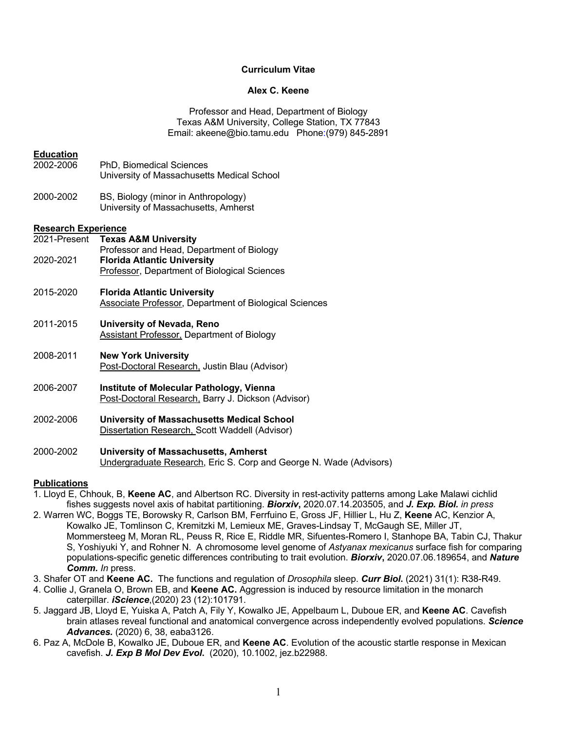## **Curriculum Vitae**

### **Alex C. Keene**

Professor and Head, Department of Biology Texas A&M University, College Station, TX 77843 Email: akeene@bio.tamu.edu Phone:(979) 845-2891

|  |  | <b>Education</b> |  |  |
|--|--|------------------|--|--|
|  |  |                  |  |  |

- 2002-2006 PhD, Biomedical Sciences University of Massachusetts Medical School
- 2000-2002 BS, Biology (minor in Anthropology) University of Massachusetts, Amherst

#### **Research Experience**

- 2021-Present **Texas A&M University** Professor and Head, Department of Biology 2020-2021 **Florida Atlantic University**
- Professor, Department of Biological Sciences
- 2015-2020 **Florida Atlantic University** Associate Professor, Department of Biological Sciences
- 2011-2015 **University of Nevada, Reno** Assistant Professor, Department of Biology
- 2008-2011 **New York University** Post-Doctoral Research, Justin Blau (Advisor)
- 2006-2007 **Institute of Molecular Pathology, Vienna** Post-Doctoral Research, Barry J. Dickson (Advisor)
- 2002-2006 **University of Massachusetts Medical School** Dissertation Research, Scott Waddell (Advisor)
- 2000-2002 **University of Massachusetts, Amherst** Undergraduate Research, Eric S. Corp and George N. Wade (Advisors)

#### **Publications**

- 1. Lloyd E, Chhouk, B, **Keene AC**, and Albertson RC. Diversity in rest-activity patterns among Lake Malawi cichlid fishes suggests novel axis of habitat partitioning. *Biorxiv***,** 2020.07.14.203505, and *J. Exp. Biol. in press*
- 2. Warren WC, Boggs TE, Borowsky R, Carlson BM, Ferrfuino E, Gross JF, Hillier L, Hu Z, **Keene** AC, Kenzior A, Kowalko JE, Tomlinson C, Kremitzki M, Lemieux ME, Graves-Lindsay T, McGaugh SE, Miller JT, Mommersteeg M, Moran RL, Peuss R, Rice E, Riddle MR, Sifuentes-Romero I, Stanhope BA, Tabin CJ, Thakur S, Yoshiyuki Y, and Rohner N. A chromosome level genome of *Astyanax mexicanus* surface fish for comparing populations-specific genetic differences contributing to trait evolution. *Biorxiv***,** 2020.07.06.189654, and *Nature Comm. In* press.
- 3. Shafer OT and **Keene AC.** The functions and regulation of *Drosophila* sleep. *Curr Biol***.** (2021) 31(1): R38-R49.
- 4. Collie J, Granela O, Brown EB, and **Keene AC.** Aggression is induced by resource limitation in the monarch caterpillar. *iScience*,(2020) 23 (12):101791.
- 5. Jaggard JB, Lloyd E, Yuiska A, Patch A, Fily Y, Kowalko JE, Appelbaum L, Duboue ER, and **Keene AC**. Cavefish brain atlases reveal functional and anatomical convergence across independently evolved populations. *Science Advances.* (2020) 6, 38, eaba3126.
- 6. Paz A, McDole B, Kowalko JE, Duboue ER, and **Keene AC**. Evolution of the acoustic startle response in Mexican cavefish. *J. Exp B Mol Dev Evol***.** (2020), 10.1002, jez.b22988.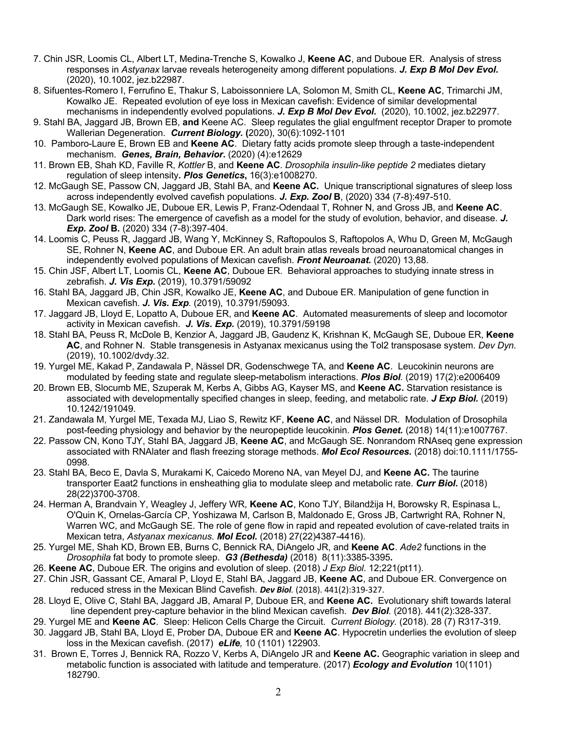- 7. Chin JSR, Loomis CL, Albert LT, Medina-Trenche S, Kowalko J, **Keene AC**, and Duboue ER. Analysis of stress responses in *Astyanax* larvae reveals heterogeneity among different populations. *J. Exp B Mol Dev Evol***.**  (2020), 10.1002, jez.b22987.
- 8. Sifuentes-Romero I, Ferrufino E, Thakur S, Laboissonniere LA, Solomon M, Smith CL, **Keene AC**, Trimarchi JM, Kowalko JE. Repeated evolution of eye loss in Mexican cavefish: Evidence of similar developmental mechanisms in independently evolved populations. *J. Exp B Mol Dev Evol***.** (2020), 10.1002, jez.b22977.
- 9. Stahl BA, Jaggard JB, Brown EB, **and** Keene AC. Sleep regulates the glial engulfment receptor Draper to promote Wallerian Degeneration. *Current Biology.* **(**2020), 30(6):1092-1101
- 10. Pamboro-Laure E, Brown EB and **Keene AC**. Dietary fatty acids promote sleep through a taste-independent mechanism. *Genes, Brain, Behavior***.** (2020) (4):e12629
- 11. Brown EB, Shah KD, Faville R, *Kottler* B, and **Keene AC**. *Drosophila insulin*-*like peptide 2* mediates dietary regulation of sleep intensity**.** *Plos Genetics***,** 16(3):e1008270.
- 12. McGaugh SE, Passow CN, Jaggard JB, Stahl BA, and **Keene AC.** Unique transcriptional signatures of sleep loss across independently evolved cavefish populations. *J. Exp. Zool* **B**, (2020) 334 (7-8):497-510.
- 13. McGaugh SE, Kowalko JE, Duboue ER, Lewis P, Franz-Odendaal T, Rohner N, and Gross JB, and **Keene AC**. Dark world rises: The emergence of cavefish as a model for the study of evolution, behavior, and disease. *J. Exp. Zool* **B.** (2020) 334 (7-8):397-404.
- 14. Loomis C, Peuss R, Jaggard JB, Wang Y, McKinney S, Raftopoulos S, Raftopolos A, Whu D, Green M, McGaugh SE, Rohner N, **Keene AC**, and Duboue ER. An adult brain atlas reveals broad neuroanatomical changes in independently evolved populations of Mexican cavefish. *Front Neuroanat.* (2020) 13,88.
- 15. Chin JSF, Albert LT, Loomis CL, **Keene AC**, Duboue ER. Behavioral approaches to studying innate stress in zebrafish. *J. Vis Exp***.** (2019), 10.3791/59092
- 16. Stahl BA, Jaggard JB, Chin JSR, Kowalko JE, **Keene AC**, and Duboue ER. Manipulation of gene function in Mexican cavefish. *J. Vis. Exp.* (2019), 10.3791/59093.
- 17. Jaggard JB, Lloyd E, Lopatto A, Duboue ER, and **Keene AC**. Automated measurements of sleep and locomotor activity in Mexican cavefish. *J. Vis. Exp.* (2019), 10.3791/59198
- 18. Stahl BA, Peuss R, McDole B, Kenzior A, Jaggard JB, Gaudenz K, Krishnan K, McGaugh SE, Duboue ER, **Keene AC**, and Rohner N. Stable transgenesis in Astyanax mexicanus using the Tol2 transposase system. *Dev Dyn.*  (2019), 10.1002/dvdy.32.
- 19. Yurgel ME, Kakad P, Zandawala P, Nässel DR, Godenschwege TA, and **Keene AC**. Leucokinin neurons are modulated by feeding state and regulate sleep-metabolism interactions. *Plos Biol.* (2019) 17(2):e2006409
- 20. Brown EB, Slocumb ME, Szuperak M, Kerbs A, Gibbs AG, Kayser MS, and **Keene AC.** Starvation resistance is associated with developmentally specified changes in sleep, feeding, and metabolic rate. *J Exp Biol.* (2019) 10.1242/191049.
- 21. Zandawala M, Yurgel ME, Texada MJ, Liao S, Rewitz KF, **Keene AC**, and Nässel DR. Modulation of Drosophila post-feeding physiology and behavior by the neuropeptide leucokinin. *Plos Genet.* (2018) 14(11):e1007767.
- 22. Passow CN, Kono TJY, Stahl BA, Jaggard JB, **Keene AC**, and McGaugh SE. Nonrandom RNAseq gene expression associated with RNAlater and flash freezing storage methods. *Mol Ecol Resources.* (2018) doi:10.1111/1755- 0998.
- 23. Stahl BA, Beco E, Davla S, Murakami K, Caicedo Moreno NA, van Meyel DJ, and **Keene AC.** The taurine transporter Eaat2 functions in ensheathing glia to modulate sleep and metabolic rate. *Curr Biol***.** (2018) 28(22)3700-3708.
- 24. Herman A, Brandvain Y, Weagley J, Jeffery WR, **Keene AC**, Kono TJY, Bilandžija H, Borowsky R, Espinasa L, O'Quin K, Ornelas-García CP, Yoshizawa M, Carlson B, Maldonado E, Gross JB, Cartwright RA, Rohner N, Warren WC, and McGaugh SE. The role of gene flow in rapid and repeated evolution of cave-related traits in Mexican tetra, *Astyanax mexicanus*. *Mol Ecol.* (2018) 27(22)4387-4416).
- 25. Yurgel ME, Shah KD, Brown EB, Burns C, Bennick RA, DiAngelo JR, and **Keene AC**. *Ade2* functions in the *Drosophila* fat body to promote sleep. *G3 (Bethesda)* (2018) 8(11):3385-3395**.**
- 26. **Keene AC**, Duboue ER. The origins and evolution of sleep. (2018) *J Exp Biol*. 12;221(pt11).
- 27. Chin JSR, Gassant CE, Amaral P, Lloyd E, Stahl BA, Jaggard JB, **Keene AC**, and Duboue ER. Convergence on reduced stress in the Mexican Blind Cavefish. *Dev Biol.* (2018). 441(2):319-327.
- 28. Lloyd E, Olive C, Stahl BA, Jaggard JB, Amaral P, Duboue ER, and **Keene AC.** Evolutionary shift towards lateral line dependent prey-capture behavior in the blind Mexican cavefish. *Dev Biol.* (2018). 441(2):328-337.
- 29. Yurgel ME and **Keene AC**. Sleep: Helicon Cells Charge the Circuit. *Current Biology.* (2018). 28 (7) R317-319.
- 30. Jaggard JB, Stahl BA, Lloyd E, Prober DA, Duboue ER and **Keene AC**. Hypocretin underlies the evolution of sleep loss in the Mexican cavefish. (2017) *eLife,* 10 (1101) 122903.
- 31. Brown E, Torres J, Bennick RA, Rozzo V, Kerbs A, DiAngelo JR and **Keene AC.** Geographic variation in sleep and metabolic function is associated with latitude and temperature. (2017) *Ecology and Evolution* 10(1101) 182790.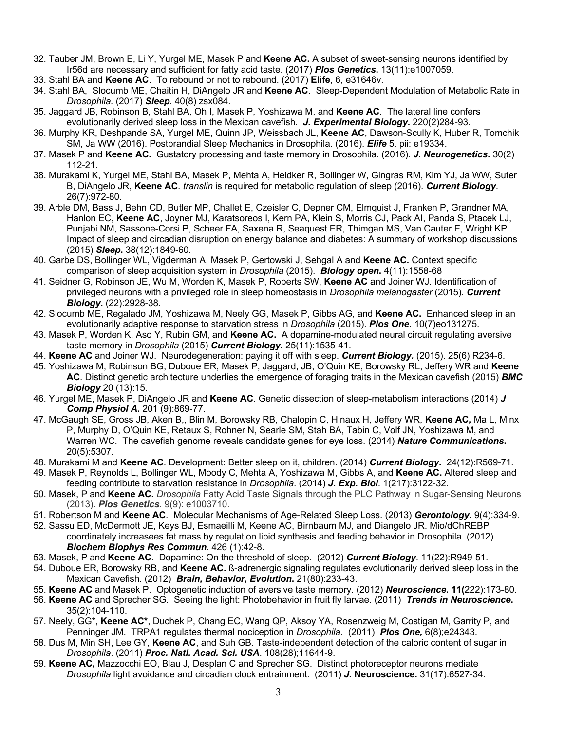- 32. Tauber JM, Brown E, Li Y, Yurgel ME, Masek P and **Keene AC.** A subset of sweet-sensing neurons identified by Ir56d are necessary and sufficient for fatty acid taste. (2017) *Plos Genetics***.** 13(11):e1007059.
- 33. Stahl BA and **Keene AC**. To rebound or not to rebound. (2017) **Elife**, 6, e31646v.
- 34. Stahl BA, Slocumb ME, Chaitin H, DiAngelo JR and **Keene AC**. Sleep-Dependent Modulation of Metabolic Rate in *Drosophila.* (2017) *Sleep.* 40(8) zsx084.
- 35. Jaggard JB, Robinson B, Stahl BA, Oh I, Masek P, Yoshizawa M, and **Keene AC**. The lateral line confers evolutionarily derived sleep loss in the Mexican cavefish. *J. Experimental Biology***.** 220(2)284-93.
- 36. Murphy KR, Deshpande SA, Yurgel ME, Quinn JP, Weissbach JL, **Keene AC**, Dawson-Scully K, Huber R, Tomchik SM, Ja WW (2016). Postprandial Sleep Mechanics in Drosophila. (2016). *Elife* 5. pii: e19334.
- 37. Masek P and **Keene AC.** Gustatory processing and taste memory in Drosophila. (2016). *J. Neurogenetics.* 30(2) 112-21.
- 38. Murakami K, Yurgel ME, Stahl BA, Masek P, Mehta A, Heidker R, Bollinger W, Gingras RM, Kim YJ, Ja WW, Suter B, DiAngelo JR, **Keene AC**. *translin* is required for metabolic regulation of sleep (2016). *Current Biology*. 26(7):972-80.
- 39. Arble DM, Bass J, Behn CD, Butler MP, Challet E, Czeisler C, Depner CM, Elmquist J, Franken P, Grandner MA, Hanlon EC, **Keene AC**, Joyner MJ, Karatsoreos I, Kern PA, Klein S, Morris CJ, Pack AI, Panda S, Ptacek LJ, Punjabi NM, Sassone-Corsi P, Scheer FA, Saxena R, Seaquest ER, Thimgan MS, Van Cauter E, Wright KP. Impact of sleep and circadian disruption on energy balance and diabetes: A summary of workshop discussions (2015) *Sleep***.** 38(12):1849-60.
- 40. Garbe DS, Bollinger WL, Vigderman A, Masek P, Gertowski J, Sehgal A and **Keene AC.** Context specific comparison of sleep acquisition system in *Drosophila* (2015). *Biology open***.** 4(11):1558-68
- 41. Seidner G, Robinson JE, Wu M, Worden K, Masek P, Roberts SW, **Keene AC** and Joiner WJ. Identification of privileged neurons with a privileged role in sleep homeostasis in *Drosophila melanogaster* (2015). *Current Biology***.** (22):2928-38.
- 42. Slocumb ME, Regalado JM, Yoshizawa M, Neely GG, Masek P, Gibbs AG, and **Keene AC.** Enhanced sleep in an evolutionarily adaptive response to starvation stress in *Drosophila* (2015). *Plos One***.** 10(7)eo131275.
- 43. Masek P, Worden K, Aso Y, Rubin GM, and **Keene AC.** A dopamine-modulated neural circuit regulating aversive taste memory in *Drosophila* (2015) *Current Biology***.** 25(11):1535-41.
- 44. **Keene AC** and Joiner WJ. Neurodegeneration: paying it off with sleep. *Current Biology.* (2015). 25(6):R234-6.
- 45. Yoshizawa M, Robinson BG, Duboue ER, Masek P, Jaggard, JB, O'Quin KE, Borowsky RL, Jeffery WR and **Keene AC**. Distinct genetic architecture underlies the emergence of foraging traits in the Mexican cavefish (2015) *BMC Biology* 20 (13):15.
- 46. Yurgel ME, Masek P, DiAngelo JR and **Keene AC**. Genetic dissection of sleep-metabolism interactions (2014) *J Comp Physiol A***.** 201 (9):869-77.
- 47. McGaugh SE, Gross JB, Aken B,, Blin M, Borowsky RB, Chalopin C, Hinaux H, Jeffery WR, **Keene AC,** Ma L, Minx P, Murphy D, O'Quin KE, Retaux S, Rohner N, Searle SM, Stah BA, Tabin C, Volf JN, Yoshizawa M, and Warren WC. The cavefish genome reveals candidate genes for eye loss. (2014) *Nature Communications***.**  20(5):5307.
- 48. Murakami M and **Keene AC**. Development: Better sleep on it, children. (2014) *Current Biology***.** 24(12):R569-71*.*
- 49. Masek P, Reynolds L, Bollinger WL, Moody C, Mehta A, Yoshizawa M, Gibbs A, and **Keene AC.** Altered sleep and feeding contribute to starvation resistance in *Drosophila*. (2014) *J. Exp. Biol*. 1(217):3122-32.
- 50. Masek, P and **Keene AC.** *Drosophila* Fatty Acid Taste Signals through the PLC Pathway in Sugar-Sensing Neurons (2013). *Plos Genetics*. 9(9): e1003710.
- 51. Robertson M and **Keene AC**. Molecular Mechanisms of Age-Related Sleep Loss. (2013) *Gerontology***.** 9(4):334-9.
- 52. Sassu ED, McDermott JE, Keys BJ, Esmaeilli M, Keene AC, Birnbaum MJ, and Diangelo JR. Mio/dChREBP coordinately increasees fat mass by regulation lipid synthesis and feeding behavior in Drosophila. (2012) *Biochem Biophys Res Commun*. 426 (1):42-8.
- 53. Masek, P and **Keene AC**. Dopamine: On the threshold of sleep. (2012) *Current Biology*. 11(22):R949-51.
- 54. Duboue ER, Borowsky RB, and **Keene AC.** ß-adrenergic signaling regulates evolutionarily derived sleep loss in the Mexican Cavefish. (2012) *Brain, Behavior, Evolution***.** 21(80):233-43.
- 55. **Keene AC** and Masek P. Optogenetic induction of aversive taste memory. (2012) *Neuroscience***. 11(**222):173-80.
- 56. **Keene AC** and Sprecher SG. Seeing the light: Photobehavior in fruit fly larvae. (2011) *Trends in Neuroscience***.** 35(2):104-110.
- 57. Neely, GG\*, **Keene AC\***, Duchek P, Chang EC, Wang QP, Aksoy YA, Rosenzweig M, Costigan M, Garrity P, and Penninger JM. TRPA1 regulates thermal nociception in *Drosophila.* (2011) *Plos One,* 6(8);e24343.
- 58. Dus M, Min SH, Lee GY, **Keene AC**, and Suh GB. Taste-independent detection of the caloric content of sugar in *Drosophila*. (2011) *Proc. Natl. Acad. Sci. USA*. 108(28);11644-9.
- 59. **Keene AC,** Mazzocchi EO, Blau J, Desplan C and Sprecher SG. Distinct photoreceptor neurons mediate *Drosophila* light avoidance and circadian clock entrainment. (2011) *J.* **Neuroscience.** 31(17):6527-34.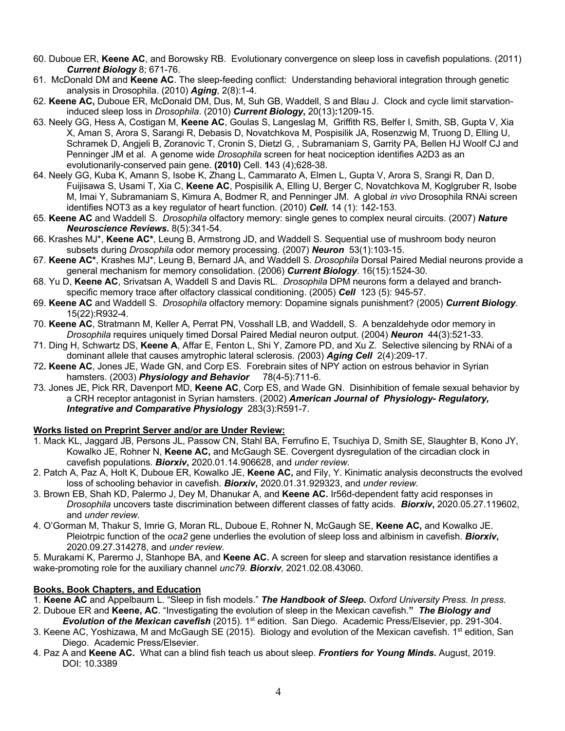- 60. Duboue ER, **Keene AC**, and Borowsky RB. Evolutionary convergence on sleep loss in cavefish populations. (2011) *Current Biology* 8; 671-76.
- 61. McDonald DM and **Keene AC**. The sleep-feeding conflict: Understanding behavioral integration through genetic analysis in Drosophila. (2010) *Aging*, 2(8):1-4.
- 62. **Keene AC,** Duboue ER, McDonald DM, Dus, M, Suh GB, Waddell, S and Blau J. Clock and cycle limit starvationinduced sleep loss in *Drosophila*. (2010) *Current Biology***,** 20(13)**:**1209-15.
- 63. Neely GG, Hess A, Costigan M, **Keene AC**, Goulas S, Langeslag M, Griffith RS, Belfer I, Smith, SB, Gupta V, Xia X, Aman S, Arora S, Sarangi R, Debasis D, Novatchkova M, Pospisilik JA, Rosenzwig M, Truong D, Elling U, Schramek D, Angjeli B, Zoranovic T, Cronin S, Dietzl G, , Subramaniam S, Garrity PA, Bellen HJ Woolf CJ and Penninger JM et al. A genome wide *Drosophila* screen for heat nociception identifies A2D3 as an evolutionarily-conserved pain gene. **(2010)** Cell. **1**43 (4);628-38.
- 64. Neely GG, Kuba K, Amann S, Isobe K, Zhang L, Cammarato A, Elmen L, Gupta V, Arora S, Srangi R, Dan D, Fuijisawa S, Usami T, Xia C, **Keene AC**, Pospisilik A, Elling U, Berger C, Novatchkova M, Koglgruber R, Isobe M, Imai Y, Subramaniam S, Kimura A, Bodmer R, and Penninger JM. A global *in vivo* Drosophila RNAi screen identifies NOT3 as a key regulator of heart function. (2010) *Cell.* 14 (1): 142-153.
- 65. **Keene AC** and Waddell S. *Drosophila* olfactory memory: single genes to complex neural circuits. (2007) *Nature Neuroscience Reviews***.** 8(5):341-54.
- 66. Krashes MJ\*, **Keene AC\***, Leung B, Armstrong JD, and Waddell S. Sequential use of mushroom body neuron subsets during *Drosophila* odor memory processing. (2007) *Neuron*53(1):103-15.
- 67. **Keene AC\***, Krashes MJ\*, Leung B, Bernard JA, and Waddell S. *Drosophila* Dorsal Paired Medial neurons provide a general mechanism for memory consolidation. (2006) *Current Biology*. 16(15):1524-30.
- 68. Yu D, **Keene AC**, Srivatsan A, Waddell S and Davis RL. *Drosophila* DPM neurons form a delayed and branchspecific memory trace after olfactory classical conditioning. (2005) *Cell* 123 (5): 945-57.
- 69. **Keene AC** and Waddell S. *Drosophila* olfactory memory: Dopamine signals punishment? (2005) *Current Biology*. 15(22):R932-4.
- 70. **Keene AC**, Stratmann M, Keller A, Perrat PN, Vosshall LB, and Waddell, S. A benzaldehyde odor memory in *Drosophila* requires uniquely timed Dorsal Paired Medial neuron output. (2004) *Neuron* 44(3):521-33.
- 71. Ding H, Schwartz DS, **Keene A**, Affar E, Fenton L, Shi Y, Zamore PD, and Xu Z. Selective silencing by RNAi of a dominant allele that causes amytrophic lateral sclerosis. *(*2003) *Aging Cell* 2(4):209-17.
- 72**. Keene AC**, Jones JE, Wade GN, and Corp ES. Forebrain sites of NPY action on estrous behavior in Syrian hamsters. (2003) *Physiology and Behavior* 78(4-5):711-6.
- 73. Jones JE, Pick RR, Davenport MD, **Keene AC**, Corp ES, and Wade GN. Disinhibition of female sexual behavior by a CRH receptor antagonist in Syrian hamsters. (2002) *American Journal of Physiology- Regulatory, Integrative and Comparative Physiology* 283(3):R591-7.

# **Works listed on Preprint Server and/or are Under Review:**

- 1. Mack KL, Jaggard JB, Persons JL, Passow CN, Stahl BA, Ferrufino E, Tsuchiya D, Smith SE, Slaughter B, Kono JY, Kowalko JE, Rohner N, **Keene AC,** and McGaugh SE. Covergent dysregulation of the circadian clock in cavefish populations. *Biorxiv***,** 2020.01.14.906628, and *under review.*
- 2. Patch A, Paz A, Holt K, Duboue ER, Kowalko JE, **Keene AC,** and Fily, Y. Kinimatic analysis deconstructs the evolved loss of schooling behavior in cavefish. *Biorxiv***,** 2020.01.31.929323, and *under review.*
- 3. Brown EB, Shah KD, Palermo J, Dey M, Dhanukar A, and **Keene AC.** Ir56d-dependent fatty acid responses in *Drosophila* uncovers taste discrimination between different classes of fatty acids. *Biorxiv***,** 2020.05.27.119602, and *under review.*
- 4. O'Gorman M, Thakur S, Imrie G, Moran RL, Duboue E, Rohner N, McGaugh SE, **Keene AC,** and Kowalko JE. Pleiotrpic function of the *oca2* gene underlies the evolution of sleep loss and albinism in cavefish. *Biorxiv***,** 2020.09.27.314278, and *under review.*

5. Murakami K, Parermo J, Stanhope BA, and **Keene AC.** A screen for sleep and starvation resistance identifies a wake-promoting role for the auxiliary channel *unc79. Biorxiv,* 2021.02.08.43060.

# **Books, Book Chapters, and Education**

- 1. **Keene AC** and Appelbaum L. "Sleep in fish models." *The Handbook of Sleep***.** *Oxford University Press*. *In press.*
- 2. Duboue ER and **Keene, AC**. "Investigating the evolution of sleep in the Mexican cavefish.**"** *The Biology and Evolution of the Mexican cavefish* (2015). 1st edition. San Diego. Academic Press/Elsevier, pp. 291-304.
- 3. Keene AC, Yoshizawa, M and McGaugh SE (2015). Biology and evolution of the Mexican cavefish. 1<sup>st</sup> edition, San Diego. Academic Press/Elsevier.
- 4. Paz A and **Keene AC.** What can a blind fish teach us about sleep. *Frontiers for Young Minds***.** August, 2019. DOI: 10.3389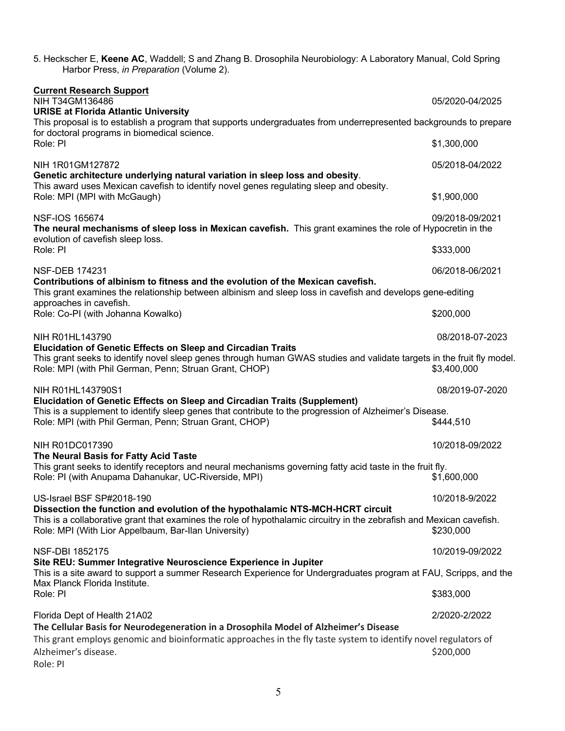| 5. Heckscher E, Keene AC, Waddell; S and Zhang B. Drosophila Neurobiology: A Laboratory Manual, Cold Spring<br>Harbor Press, in Preparation (Volume 2).                                                                                                                |                 |  |  |  |
|------------------------------------------------------------------------------------------------------------------------------------------------------------------------------------------------------------------------------------------------------------------------|-----------------|--|--|--|
| <b>Current Research Support</b><br>NIH T34GM136486<br><b>URISE at Florida Atlantic University</b><br>This proposal is to establish a program that supports undergraduates from underrepresented backgrounds to prepare<br>for doctoral programs in biomedical science. | 05/2020-04/2025 |  |  |  |
| Role: PI                                                                                                                                                                                                                                                               | \$1,300,000     |  |  |  |
| NIH 1R01GM127872<br>Genetic architecture underlying natural variation in sleep loss and obesity.<br>This award uses Mexican cavefish to identify novel genes regulating sleep and obesity.                                                                             | 05/2018-04/2022 |  |  |  |
| Role: MPI (MPI with McGaugh)                                                                                                                                                                                                                                           | \$1,900,000     |  |  |  |
| <b>NSF-IOS 165674</b><br>The neural mechanisms of sleep loss in Mexican cavefish. This grant examines the role of Hypocretin in the<br>evolution of cavefish sleep loss.                                                                                               | 09/2018-09/2021 |  |  |  |
| Role: PI                                                                                                                                                                                                                                                               | \$333,000       |  |  |  |
| <b>NSF-DEB 174231</b>                                                                                                                                                                                                                                                  | 06/2018-06/2021 |  |  |  |
| Contributions of albinism to fitness and the evolution of the Mexican cavefish.<br>This grant examines the relationship between albinism and sleep loss in cavefish and develops gene-editing<br>approaches in cavefish.                                               |                 |  |  |  |
| Role: Co-PI (with Johanna Kowalko)                                                                                                                                                                                                                                     | \$200,000       |  |  |  |
| NIH R01HL143790<br>Elucidation of Genetic Effects on Sleep and Circadian Traits                                                                                                                                                                                        | 08/2018-07-2023 |  |  |  |
| This grant seeks to identify novel sleep genes through human GWAS studies and validate targets in the fruit fly model.<br>Role: MPI (with Phil German, Penn; Struan Grant, CHOP)                                                                                       | \$3,400,000     |  |  |  |
| NIH R01HL143790S1                                                                                                                                                                                                                                                      | 08/2019-07-2020 |  |  |  |
| Elucidation of Genetic Effects on Sleep and Circadian Traits (Supplement)<br>This is a supplement to identify sleep genes that contribute to the progression of Alzheimer's Disease.<br>Role: MPI (with Phil German, Penn; Struan Grant, CHOP)                         | \$444,510       |  |  |  |
| NIH R01DC017390<br>The Neural Basis for Fatty Acid Taste                                                                                                                                                                                                               | 10/2018-09/2022 |  |  |  |
| This grant seeks to identify receptors and neural mechanisms governing fatty acid taste in the fruit fly.<br>Role: PI (with Anupama Dahanukar, UC-Riverside, MPI)                                                                                                      | \$1,600,000     |  |  |  |
| US-Israel BSF SP#2018-190                                                                                                                                                                                                                                              | 10/2018-9/2022  |  |  |  |
| Dissection the function and evolution of the hypothalamic NTS-MCH-HCRT circuit<br>This is a collaborative grant that examines the role of hypothalamic circuitry in the zebrafish and Mexican cavefish.<br>Role: MPI (With Lior Appelbaum, Bar-Ilan University)        | \$230,000       |  |  |  |
| <b>NSF-DBI 1852175</b>                                                                                                                                                                                                                                                 | 10/2019-09/2022 |  |  |  |
| Site REU: Summer Integrative Neuroscience Experience in Jupiter<br>This is a site award to support a summer Research Experience for Undergraduates program at FAU, Scripps, and the                                                                                    |                 |  |  |  |
| Max Planck Florida Institute.<br>Role: PI                                                                                                                                                                                                                              | \$383,000       |  |  |  |
| Florida Dept of Health 21A02                                                                                                                                                                                                                                           | 2/2020-2/2022   |  |  |  |
| The Cellular Basis for Neurodegeneration in a Drosophila Model of Alzheimer's Disease<br>This grant employs genomic and bioinformatic approaches in the fly taste system to identify novel regulators of<br>Alzheimer's disease.<br>Role: PI                           | \$200,000       |  |  |  |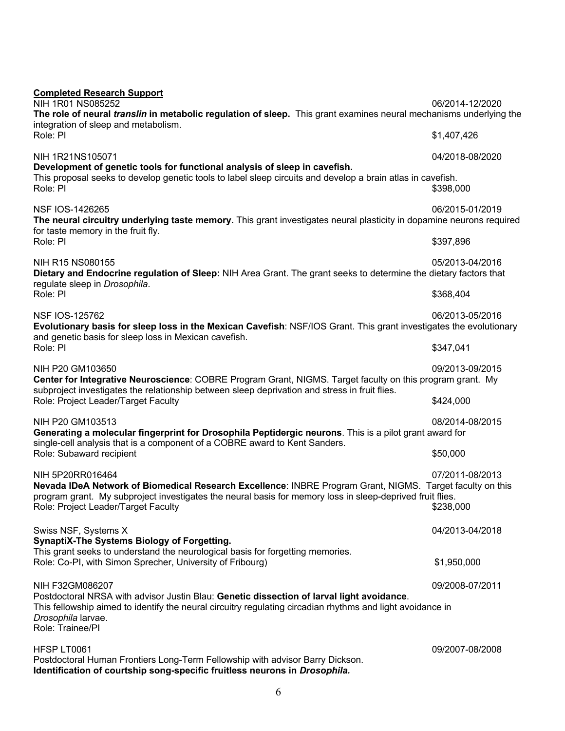| <b>Completed Research Support</b><br>NIH 1R01 NS085252<br>The role of neural translin in metabolic regulation of sleep. This grant examines neural mechanisms underlying the<br>integration of sleep and metabolism.                                                              | 06/2014-12/2020              |  |
|-----------------------------------------------------------------------------------------------------------------------------------------------------------------------------------------------------------------------------------------------------------------------------------|------------------------------|--|
| Role: PI                                                                                                                                                                                                                                                                          | \$1,407,426                  |  |
| NIH 1R21NS105071                                                                                                                                                                                                                                                                  | 04/2018-08/2020              |  |
| Development of genetic tools for functional analysis of sleep in cavefish.<br>This proposal seeks to develop genetic tools to label sleep circuits and develop a brain atlas in cavefish.<br>Role: PI                                                                             | \$398,000                    |  |
| NSF IOS-1426265<br>The neural circuitry underlying taste memory. This grant investigates neural plasticity in dopamine neurons required<br>for taste memory in the fruit fly.                                                                                                     | 06/2015-01/2019              |  |
| Role: PI                                                                                                                                                                                                                                                                          | \$397,896                    |  |
| NIH R15 NS080155<br>Dietary and Endocrine regulation of Sleep: NIH Area Grant. The grant seeks to determine the dietary factors that                                                                                                                                              | 05/2013-04/2016              |  |
| regulate sleep in Drosophila.<br>Role: PI                                                                                                                                                                                                                                         | \$368,404                    |  |
| <b>NSF IOS-125762</b><br>Evolutionary basis for sleep loss in the Mexican Cavefish: NSF/IOS Grant. This grant investigates the evolutionary                                                                                                                                       | 06/2013-05/2016              |  |
| and genetic basis for sleep loss in Mexican cavefish.<br>Role: PI                                                                                                                                                                                                                 | \$347,041                    |  |
| NIH P20 GM103650<br>Center for Integrative Neuroscience: COBRE Program Grant, NIGMS. Target faculty on this program grant. My                                                                                                                                                     | 09/2013-09/2015              |  |
| subproject investigates the relationship between sleep deprivation and stress in fruit flies.<br>Role: Project Leader/Target Faculty                                                                                                                                              | \$424,000                    |  |
| NIH P20 GM103513<br>Generating a molecular fingerprint for Drosophila Peptidergic neurons. This is a pilot grant award for                                                                                                                                                        | 08/2014-08/2015              |  |
| single-cell analysis that is a component of a COBRE award to Kent Sanders.<br>Role: Subaward recipient                                                                                                                                                                            | \$50,000                     |  |
| NIH 5P20RR016464<br>Nevada IDeA Network of Biomedical Research Excellence: INBRE Program Grant, NIGMS. Target faculty on this<br>program grant. My subproject investigates the neural basis for memory loss in sleep-deprived fruit flies.<br>Role: Project Leader/Target Faculty | 07/2011-08/2013<br>\$238,000 |  |
| Swiss NSF, Systems X                                                                                                                                                                                                                                                              | 04/2013-04/2018              |  |
| <b>SynaptiX-The Systems Biology of Forgetting.</b><br>This grant seeks to understand the neurological basis for forgetting memories.<br>Role: Co-PI, with Simon Sprecher, University of Fribourg)                                                                                 | \$1,950,000                  |  |
| NIH F32GM086207                                                                                                                                                                                                                                                                   | 09/2008-07/2011              |  |
| Postdoctoral NRSA with advisor Justin Blau: Genetic dissection of larval light avoidance.<br>This fellowship aimed to identify the neural circuitry regulating circadian rhythms and light avoidance in<br>Drosophila larvae.<br>Role: Trainee/Pl                                 |                              |  |
| HFSP LT0061<br>Postdoctoral Human Frontiers Long-Term Fellowship with advisor Barry Dickson.<br>Identification of courtship song-specific fruitless neurons in Drosophila.                                                                                                        | 09/2007-08/2008              |  |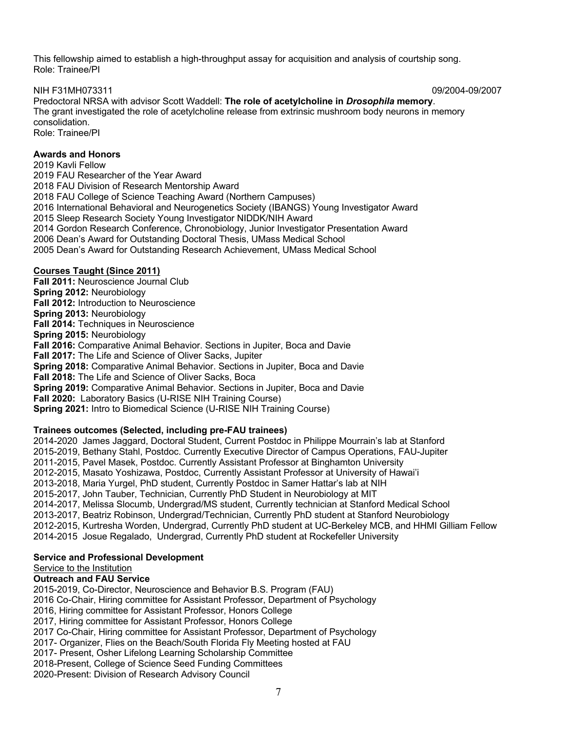This fellowship aimed to establish a high-throughput assay for acquisition and analysis of courtship song. Role: Trainee/PI

NIH F31MH073311 09/2004-09/2007

Predoctoral NRSA with advisor Scott Waddell: **The role of acetylcholine in** *Drosophila* **memory**. The grant investigated the role of acetylcholine release from extrinsic mushroom body neurons in memory consolidation. Role: Trainee/PI

## **Awards and Honors**

2019 Kavli Fellow 2019 FAU Researcher of the Year Award 2018 FAU Division of Research Mentorship Award 2018 FAU College of Science Teaching Award (Northern Campuses) 2016 International Behavioral and Neurogenetics Society (IBANGS) Young Investigator Award 2015 Sleep Research Society Young Investigator NIDDK/NIH Award 2014 Gordon Research Conference, Chronobiology, Junior Investigator Presentation Award 2006 Dean's Award for Outstanding Doctoral Thesis, UMass Medical School 2005 Dean's Award for Outstanding Research Achievement, UMass Medical School

## **Courses Taught (Since 2011)**

**Fall 2011:** Neuroscience Journal Club **Spring 2012:** Neurobiology **Fall 2012:** Introduction to Neuroscience **Spring 2013:** Neurobiology **Fall 2014:** Techniques in Neuroscience **Spring 2015:** Neurobiology **Fall 2016:** Comparative Animal Behavior. Sections in Jupiter, Boca and Davie **Fall 2017:** The Life and Science of Oliver Sacks, Jupiter **Spring 2018:** Comparative Animal Behavior. Sections in Jupiter, Boca and Davie **Fall 2018:** The Life and Science of Oliver Sacks, Boca **Spring 2019:** Comparative Animal Behavior. Sections in Jupiter, Boca and Davie **Fall 2020:** Laboratory Basics (U-RISE NIH Training Course) **Spring 2021:** Intro to Biomedical Science (U-RISE NIH Training Course)

#### **Trainees outcomes (Selected, including pre-FAU trainees)**

2014-2020 James Jaggard, Doctoral Student, Current Postdoc in Philippe Mourrain's lab at Stanford 2015-2019, Bethany Stahl, Postdoc. Currently Executive Director of Campus Operations, FAU-Jupiter 2011-2015, Pavel Masek, Postdoc. Currently Assistant Professor at Binghamton University 2012-2015, Masato Yoshizawa, Postdoc, Currently Assistant Professor at University of Hawai'i 2013-2018, Maria Yurgel, PhD student, Currently Postdoc in Samer Hattar's lab at NIH 2015-2017, John Tauber, Technician, Currently PhD Student in Neurobiology at MIT 2014-2017, Melissa Slocumb, Undergrad/MS student, Currently technician at Stanford Medical School 2013-2017, Beatriz Robinson, Undergrad/Technician, Currently PhD student at Stanford Neurobiology 2012-2015, Kurtresha Worden, Undergrad, Currently PhD student at UC-Berkeley MCB, and HHMI Gilliam Fellow 2014-2015 Josue Regalado, Undergrad, Currently PhD student at Rockefeller University

#### **Service and Professional Development**

Service to the Institution

## **Outreach and FAU Service**

2015-2019, Co-Director, Neuroscience and Behavior B.S. Program (FAU) 2016 Co-Chair, Hiring committee for Assistant Professor, Department of Psychology 2016, Hiring committee for Assistant Professor, Honors College 2017, Hiring committee for Assistant Professor, Honors College 2017 Co-Chair, Hiring committee for Assistant Professor, Department of Psychology 2017- Organizer, Flies on the Beach/South Florida Fly Meeting hosted at FAU 2017- Present, Osher Lifelong Learning Scholarship Committee 2018-Present, College of Science Seed Funding Committees

2020-Present: Division of Research Advisory Council